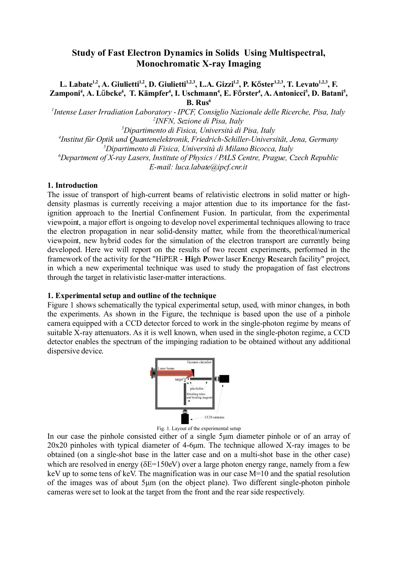## **Study of Fast Electron Dynamics in Solids Using Multispectral, Monochromatic X-ray Imaging**

**L. Labate1,2 , A. Giulietti1,2 , D. Giulietti 1,2,3, L.A. Gizzi1,2 , P. K**ő**ster1,2,3 , T. Levato 1,2,3, F.** Zamponi<sup>4</sup>, A. Lűbcke<sup>4</sup>, T. Kämpfer<sup>4</sup>, I. Uschmann<sup>4</sup>, E. Főrster<sup>4</sup>, A. Antonicci<sup>5</sup>, D. Batani<sup>5</sup>, **B. Rus<sup>6</sup>**

*1 Intense Laser Irradiation Laboratory - IPCF, Consiglio Nazionale delle Ricerche, Pisa, Italy 2 INFN, Sezione di Pisa, Italy*

*Dipartimento di Fisica, Università di Pisa, Italy Institut für Optik und Quantenelektronik, Friedrich-Schiller-Universität, Jena, Germany Dipartimento di Fisica, Università di Milano Bicocca, Italy Department of X-ray Lasers, Institute of Physics / PALS Centre, Prague, Czech Republic E-mail: luca.labate@ipcf.cnr.it*

## **1. Introduction**

The issue of transport of high-current beams of relativistic electrons in solid matter or highdensity plasmas is currently receiving a major attention due to its importance for the fastignition approach to the Inertial Confinement Fusion. In particular, from the experimental viewpoint, a major effort is ongoing to develop novel experimental techniques allowing to trace the electron propagation in near solid-density matter, while from the theorethical/numerical viewpoint, new hybrid codes for the simulation of the electron transport are currently being developed. Here we will report on the results of two recent experiments, performed in the framework of the activity for the "HiPER - **Hi**gh **P**ower laser **E**nergy **R**esearch facility" project, in which a new experimental technique was used to study the propagation of fast electrons through the target in relativistic laser-matter interactions.

## **1. Experimental setup and outline of the technique**

Figure 1 shows schematically the typical experimental setup, used, with minor changes, in both the experiments. As shown in the Figure, the technique is based upon the use of a pinhole camera equipped with a CCD detector forced to work in the single-photon regime by means of suitable X-ray attenuators. As it is well known, when used in the single-photon regime, a CCD detector enables the spectrum of the impinging radiation to be obtained without any additional dispersive device.



Fig. 1. Layout of the experimental setup

In our case the pinhole consisted either of a single 5μm diameter pinhole or of an array of 20x20 pinholes with typical diameter of 4-6μm. The technique allowed X-ray images to be obtained (on a single-shot base in the latter case and on a multi-shot base in the other case) which are resolved in energy ( $\delta E = 150$ eV) over a large photon energy range, namely from a few keV up to some tens of keV. The magnification was in our case M=10 and the spatial resolution of the images was of about 5μm (on the object plane). Two different single-photon pinhole cameras were set to look at the target from the front and the rear side respectively.